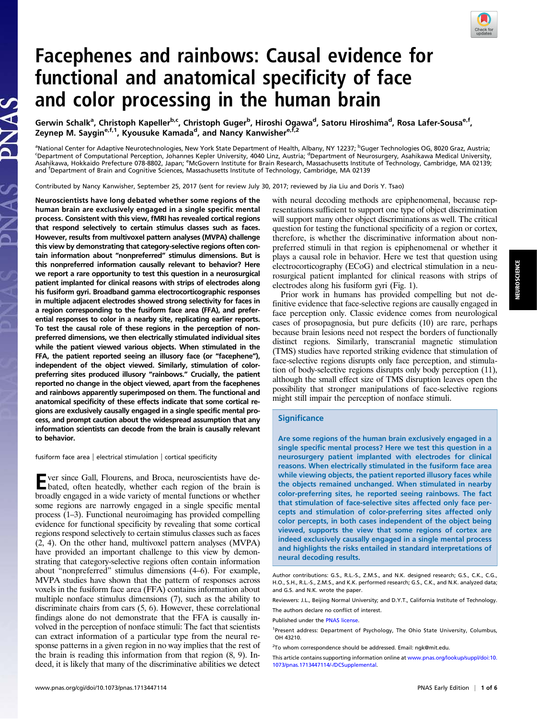

# Facephenes and rainbows: Causal evidence for functional and anatomical specificity of face and color processing in the human brain

Gerwin Schalk<sup>a</sup>, Christoph Kapeller<sup>b,c</sup>, Christoph Guger<sup>b</sup>, Hiroshi Ogawa<sup>d</sup>, Satoru Hiroshima<sup>d</sup>, Rosa Lafer-Sousa<sup>e, f</sup>, Zeynep M. Saygin<sup>e,f,1</sup>, Kyousuke Kamada<sup>d</sup>, and Nancy Kanwisher<sup>e,f,2</sup>

<sup>a</sup>National Center for Adaptive Neurotechnologies, New York State Department of Health, Albany, NY 12237; <sup>b</sup> ªNational Center for Adaptive Neurotechnologies, New York State Department of Health, Albany, NY 12237; ºGuger Technologies OG, 8020 Graz, Austria;<br>ʿDepartment of Computational Perception, Johannes Kepler University, 4040 and <sup>f</sup> Department of Brain and Cognitive Sciences, Massachusetts Institute of Technology, Cambridge, MA 02139

Contributed by Nancy Kanwisher, September 25, 2017 (sent for review July 30, 2017; reviewed by Jia Liu and Doris Y. Tsao)

Neuroscientists have long debated whether some regions of the human brain are exclusively engaged in a single specific mental process. Consistent with this view, fMRI has revealed cortical regions that respond selectively to certain stimulus classes such as faces. However, results from multivoxel pattern analyses (MVPA) challenge this view by demonstrating that category-selective regions often contain information about "nonpreferred" stimulus dimensions. But is this nonpreferred information causally relevant to behavior? Here we report a rare opportunity to test this question in a neurosurgical patient implanted for clinical reasons with strips of electrodes along his fusiform gyri. Broadband gamma electrocorticographic responses in multiple adjacent electrodes showed strong selectivity for faces in a region corresponding to the fusiform face area (FFA), and preferential responses to color in a nearby site, replicating earlier reports. To test the causal role of these regions in the perception of nonpreferred dimensions, we then electrically stimulated individual sites while the patient viewed various objects. When stimulated in the FFA, the patient reported seeing an illusory face (or "facephene"), independent of the object viewed. Similarly, stimulation of colorpreferring sites produced illusory "rainbows." Crucially, the patient reported no change in the object viewed, apart from the facephenes and rainbows apparently superimposed on them. The functional and anatomical specificity of these effects indicate that some cortical regions are exclusively causally engaged in a single specific mental process, and prompt caution about the widespread assumption that any information scientists can decode from the brain is causally relevant to behavior.

fusiform face area | electrical stimulation | cortical specificity

Ever since Gall, Flourens, and Broca, neuroscientists have de-bated, often heatedly, whether each region of the brain is broadly engaged in a wide variety of mental functions or whether some regions are narrowly engaged in a single specific mental process (1–3). Functional neuroimaging has provided compelling evidence for functional specificity by revealing that some cortical regions respond selectively to certain stimulus classes such as faces (2, 4). On the other hand, multivoxel pattern analyses (MVPA) have provided an important challenge to this view by demonstrating that category-selective regions often contain information about "nonpreferred" stimulus dimensions (4–6). For example, MVPA studies have shown that the pattern of responses across voxels in the fusiform face area (FFA) contains information about multiple nonface stimulus dimensions (7), such as the ability to discriminate chairs from cars (5, 6). However, these correlational findings alone do not demonstrate that the FFA is causally involved in the perception of nonface stimuli: The fact that scientists can extract information of a particular type from the neural response patterns in a given region in no way implies that the rest of the brain is reading this information from that region (8, 9). Indeed, it is likely that many of the discriminative abilities we detect with neural decoding methods are epiphenomenal, because representations sufficient to support one type of object discrimination will support many other object discriminations as well. The critical question for testing the functional specificity of a region or cortex, therefore, is whether the discriminative information about nonpreferred stimuli in that region is epiphenomenal or whether it plays a causal role in behavior. Here we test that question using electrocorticography (ECoG) and electrical stimulation in a neurosurgical patient implanted for clinical reasons with strips of electrodes along his fusiform gyri (Fig. 1).

Prior work in humans has provided compelling but not definitive evidence that face-selective regions are causally engaged in face perception only. Classic evidence comes from neurological cases of prosopagnosia, but pure deficits (10) are rare, perhaps because brain lesions need not respect the borders of functionally distinct regions. Similarly, transcranial magnetic stimulation (TMS) studies have reported striking evidence that stimulation of face-selective regions disrupts only face perception, and stimulation of body-selective regions disrupts only body perception (11), although the small effect size of TMS disruption leaves open the possibility that stronger manipulations of face-selective regions might still impair the perception of nonface stimuli.

### **Significance**

Are some regions of the human brain exclusively engaged in a single specific mental process? Here we test this question in a neurosurgery patient implanted with electrodes for clinical reasons. When electrically stimulated in the fusiform face area while viewing objects, the patient reported illusory faces while the objects remained unchanged. When stimulated in nearby color-preferring sites, he reported seeing rainbows. The fact that stimulation of face-selective sites affected only face percepts and stimulation of color-preferring sites affected only color percepts, in both cases independent of the object being viewed, supports the view that some regions of cortex are indeed exclusively causally engaged in a single mental process and highlights the risks entailed in standard interpretations of neural decoding results.

Reviewers: J.L., Beijing Normal University; and D.Y.T., California Institute of Technology. The authors declare no conflict of interest.

Published under the [PNAS license](http://www.pnas.org/site/aboutpnas/licenses.xhtml).

Author contributions: G.S., R.L.-S., Z.M.S., and N.K. designed research; G.S., C.K., C.G., H.O., S.H., R.L.-S., Z.M.S., and K.K. performed research; G.S., C.K., and N.K. analyzed data; and G.S. and N.K. wrote the paper.

<sup>&</sup>lt;sup>1</sup>Present address: Department of Psychology, The Ohio State University, Columbus, OH 43210.

<sup>&</sup>lt;sup>2</sup>To whom correspondence should be addressed. Email: [ngk@mit.edu.](mailto:ngk@mit.edu)

This article contains supporting information online at [www.pnas.org/lookup/suppl/doi:10.](http://www.pnas.org/lookup/suppl/doi:10.1073/pnas.1713447114/-/DCSupplemental) [1073/pnas.1713447114/-/DCSupplemental](http://www.pnas.org/lookup/suppl/doi:10.1073/pnas.1713447114/-/DCSupplemental).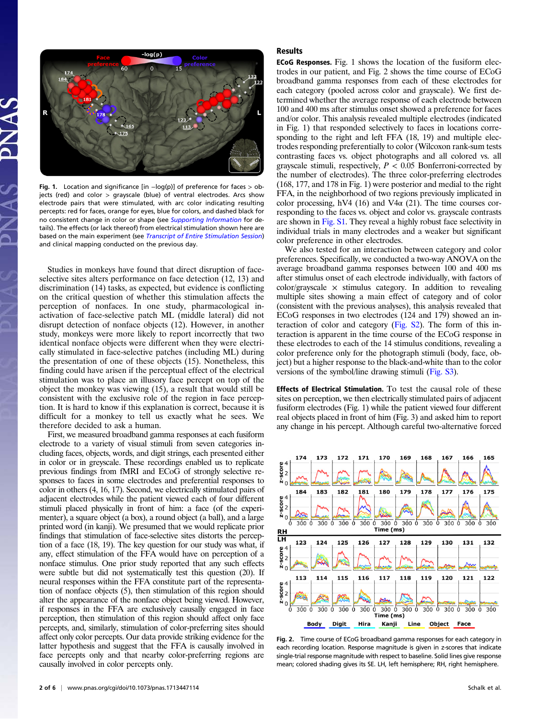

Fig. 1. Location and significance [in  $-\log(p)$ ] of preference for faces > objects (red) and color > grayscale (blue) of ventral electrodes. Arcs show electrode pairs that were stimulated, with arc color indicating resulting percepts: red for faces, orange for eyes, blue for colors, and dashed black for no consistent change in color or shape (see [Supporting Information](http://www.pnas.org/lookup/suppl/doi:10.1073/pnas.1713447114/-/DCSupplemental/pnas.201713447SI.pdf?targetid=nameddest=STXT) for details). The effects (or lack thereof) from electrical stimulation shown here are based on the main experiment (see [Transcript of Entire Stimulation Session](http://www.pnas.org/lookup/suppl/doi:10.1073/pnas.1713447114/-/DCSupplemental/pnas.201713447SI.pdf?targetid=nameddest=STXT)) and clinical mapping conducted on the previous day.

Studies in monkeys have found that direct disruption of faceselective sites alters performance on face detection (12, 13) and discrimination (14) tasks, as expected, but evidence is conflicting on the critical question of whether this stimulation affects the perception of nonfaces. In one study, pharmacological inactivation of face-selective patch ML (middle lateral) did not disrupt detection of nonface objects (12). However, in another study, monkeys were more likely to report incorrectly that two identical nonface objects were different when they were electrically stimulated in face-selective patches (including ML) during the presentation of one of these objects (15). Nonetheless, this finding could have arisen if the perceptual effect of the electrical stimulation was to place an illusory face percept on top of the object the monkey was viewing (15), a result that would still be consistent with the exclusive role of the region in face perception. It is hard to know if this explanation is correct, because it is difficult for a monkey to tell us exactly what he sees. We therefore decided to ask a human.

First, we measured broadband gamma responses at each fusiform electrode to a variety of visual stimuli from seven categories including faces, objects, words, and digit strings, each presented either in color or in greyscale. These recordings enabled us to replicate previous findings from fMRI and ECoG of strongly selective responses to faces in some electrodes and preferential responses to color in others (4, 16, 17). Second, we electrically stimulated pairs of adjacent electrodes while the patient viewed each of four different stimuli placed physically in front of him: a face (of the experimenter), a square object (a box), a round object (a ball), and a large printed word (in kanji). We presumed that we would replicate prior findings that stimulation of face-selective sites distorts the perception of a face (18, 19). The key question for our study was what, if any, effect stimulation of the FFA would have on perception of a nonface stimulus. One prior study reported that any such effects were subtle but did not systematically test this question (20). If neural responses within the FFA constitute part of the representation of nonface objects (5), then stimulation of this region should alter the appearance of the nonface object being viewed. However, if responses in the FFA are exclusively causally engaged in face perception, then stimulation of this region should affect only face percepts, and, similarly, stimulation of color-preferring sites should affect only color percepts. Our data provide striking evidence for the latter hypothesis and suggest that the FFA is causally involved in face percepts only and that nearby color-preferring regions are causally involved in color percepts only.

## Results

ECoG Responses. Fig. 1 shows the location of the fusiform electrodes in our patient, and Fig. 2 shows the time course of ECoG broadband gamma responses from each of these electrodes for each category (pooled across color and grayscale). We first determined whether the average response of each electrode between 100 and 400 ms after stimulus onset showed a preference for faces and/or color. This analysis revealed multiple electrodes (indicated in Fig. 1) that responded selectively to faces in locations corresponding to the right and left FFA (18, 19) and multiple electrodes responding preferentially to color (Wilcoxon rank-sum tests contrasting faces vs. object photographs and all colored vs. all grayscale stimuli, respectively,  $P < 0.05$  Bonferroni-corrected by the number of electrodes). The three color-preferring electrodes (168, 177, and 178 in Fig. 1) were posterior and medial to the right FFA, in the neighborhood of two regions previously implicated in color processing, hV4 (16) and V4 $\alpha$  (21). The time courses corresponding to the faces vs. object and color vs. grayscale contrasts are shown in [Fig. S1](http://www.pnas.org/lookup/suppl/doi:10.1073/pnas.1713447114/-/DCSupplemental/pnas.201713447SI.pdf?targetid=nameddest=SF1). They reveal a highly robust face selectivity in individual trials in many electrodes and a weaker but significant color preference in other electrodes.

We also tested for an interaction between category and color preferences. Specifically, we conducted a two-way ANOVA on the average broadband gamma responses between 100 and 400 ms after stimulus onset of each electrode individually, with factors of color/grayscale  $\times$  stimulus category. In addition to revealing multiple sites showing a main effect of category and of color (consistent with the previous analyses), this analysis revealed that ECoG responses in two electrodes (124 and 179) showed an interaction of color and category ([Fig. S2](http://www.pnas.org/lookup/suppl/doi:10.1073/pnas.1713447114/-/DCSupplemental/pnas.201713447SI.pdf?targetid=nameddest=SF2)). The form of this interaction is apparent in the time course of the ECoG response in these electrodes to each of the 14 stimulus conditions, revealing a color preference only for the photograph stimuli (body, face, object) but a higher response to the black-and-white than to the color versions of the symbol/line drawing stimuli [\(Fig. S3](http://www.pnas.org/lookup/suppl/doi:10.1073/pnas.1713447114/-/DCSupplemental/pnas.201713447SI.pdf?targetid=nameddest=SF3)).

Effects of Electrical Stimulation. To test the causal role of these sites on perception, we then electrically stimulated pairs of adjacent fusiform electrodes (Fig. 1) while the patient viewed four different real objects placed in front of him (Fig. 3) and asked him to report any change in his percept. Although careful two-alternative forced



Fig. 2. Time course of ECoG broadband gamma responses for each category in each recording location. Response magnitude is given in z-scores that indicate single-trial response magnitude with respect to baseline. Solid lines give response mean; colored shading gives its SE. LH, left hemisphere; RH, right hemisphere.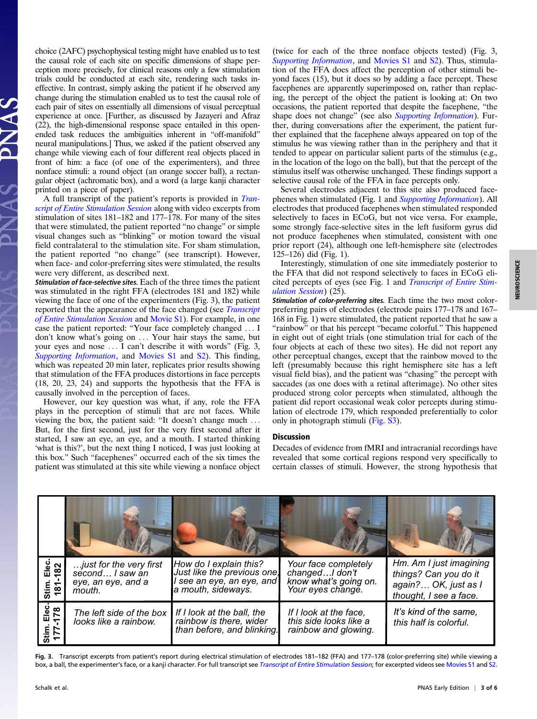choice (2AFC) psychophysical testing might have enabled us to test the causal role of each site on specific dimensions of shape perception more precisely, for clinical reasons only a few stimulation trials could be conducted at each site, rendering such tasks ineffective. In contrast, simply asking the patient if he observed any change during the stimulation enabled us to test the causal role of each pair of sites on essentially all dimensions of visual perceptual experience at once. [Further, as discussed by Jazayeri and Afraz (22), the high-dimensional response space entailed in this openended task reduces the ambiguities inherent in "off-manifold" neural manipulations.] Thus, we asked if the patient observed any change while viewing each of four different real objects placed in front of him: a face (of one of the experimenters), and three nonface stimuli: a round object (an orange soccer ball), a rectangular object (achromatic box), and a word (a large kanji character printed on a piece of paper).

A full transcript of the patient's reports is provided in [Tran](http://www.pnas.org/lookup/suppl/doi:10.1073/pnas.1713447114/-/DCSupplemental/pnas.201713447SI.pdf?targetid=nameddest=STXT)[script of Entire Stimulation Session](http://www.pnas.org/lookup/suppl/doi:10.1073/pnas.1713447114/-/DCSupplemental/pnas.201713447SI.pdf?targetid=nameddest=STXT) along with video excerpts from stimulation of sites 181–182 and 177–178. For many of the sites that were stimulated, the patient reported "no change" or simple visual changes such as "blinking" or motion toward the visual field contralateral to the stimulation site. For sham stimulation, the patient reported "no change" (see transcript). However, when face- and color-preferring sites were stimulated, the results were very different, as described next.

Stimulation of face-selective sites. Each of the three times the patient was stimulated in the right FFA (electrodes 181 and 182) while viewing the face of one of the experimenters (Fig. 3), the patient reported that the appearance of the face changed (see *[Transcript](http://www.pnas.org/lookup/suppl/doi:10.1073/pnas.1713447114/-/DCSupplemental/pnas.201713447SI.pdf?targetid=nameddest=STXT)* [of Entire Stimulation Session](http://www.pnas.org/lookup/suppl/doi:10.1073/pnas.1713447114/-/DCSupplemental/pnas.201713447SI.pdf?targetid=nameddest=STXT) and [Movie S1](http://movie-usa.glencoesoftware.com/video/10.1073/pnas.1713447114/video-1)). For example, in one case the patient reported: "Your face completely changed ... I don't know what's going on ... Your hair stays the same, but your eyes and nose ... I can't describe it with words" (Fig. 3, [Supporting Information](http://www.pnas.org/lookup/suppl/doi:10.1073/pnas.1713447114/-/DCSupplemental/pnas.201713447SI.pdf?targetid=nameddest=STXT), and [Movies S1](http://movie-usa.glencoesoftware.com/video/10.1073/pnas.1713447114/video-1) and [S2](http://movie-usa.glencoesoftware.com/video/10.1073/pnas.1713447114/video-2)). This finding, which was repeated 20 min later, replicates prior results showing that stimulation of the FFA produces distortions in face percepts (18, 20, 23, 24) and supports the hypothesis that the FFA is causally involved in the perception of faces.

However, our key question was what, if any, role the FFA plays in the perception of stimuli that are not faces. While viewing the box, the patient said: "It doesn't change much ... But, for the first second, just for the very first second after it started, I saw an eye, an eye, and a mouth. I started thinking 'what is this?', but the next thing I noticed, I was just looking at this box." Such "facephenes" occurred each of the six times the patient was stimulated at this site while viewing a nonface object

(twice for each of the three nonface objects tested) (Fig. 3, [Supporting Information](http://www.pnas.org/lookup/suppl/doi:10.1073/pnas.1713447114/-/DCSupplemental/pnas.201713447SI.pdf?targetid=nameddest=STXT), and [Movies S1](http://movie-usa.glencoesoftware.com/video/10.1073/pnas.1713447114/video-1) and [S2\)](http://movie-usa.glencoesoftware.com/video/10.1073/pnas.1713447114/video-2). Thus, stimulation of the FFA does affect the perception of other stimuli beyond faces (15), but it does so by adding a face percept. These facephenes are apparently superimposed on, rather than replacing, the percept of the object the patient is looking at: On two occasions, the patient reported that despite the facephene, "the shape does not change" (see also [Supporting Information](http://www.pnas.org/lookup/suppl/doi:10.1073/pnas.1713447114/-/DCSupplemental/pnas.201713447SI.pdf?targetid=nameddest=STXT)). Further, during conversations after the experiment, the patient further explained that the facephene always appeared on top of the stimulus he was viewing rather than in the periphery and that it tended to appear on particular salient parts of the stimulus (e.g., in the location of the logo on the ball), but that the percept of the stimulus itself was otherwise unchanged. These findings support a selective causal role of the FFA in face percepts only.

Several electrodes adjacent to this site also produced facephenes when stimulated (Fig. 1 and *[Supporting Information](http://www.pnas.org/lookup/suppl/doi:10.1073/pnas.1713447114/-/DCSupplemental/pnas.201713447SI.pdf?targetid=nameddest=STXT)*). All electrodes that produced facephenes when stimulated responded selectively to faces in ECoG, but not vice versa. For example, some strongly face-selective sites in the left fusiform gyrus did not produce facephenes when stimulated, consistent with one prior report (24), although one left-hemisphere site (electrodes 125–126) did (Fig. 1).

Interestingly, stimulation of one site immediately posterior to the FFA that did not respond selectively to faces in ECoG elicited percepts of eyes (see Fig. 1 and [Transcript of Entire Stim](http://www.pnas.org/lookup/suppl/doi:10.1073/pnas.1713447114/-/DCSupplemental/pnas.201713447SI.pdf?targetid=nameddest=STXT)[ulation Session](http://www.pnas.org/lookup/suppl/doi:10.1073/pnas.1713447114/-/DCSupplemental/pnas.201713447SI.pdf?targetid=nameddest=STXT)) (25).

Stimulation of color-preferring sites. Each time the two most colorpreferring pairs of electrodes (electrode pairs 177–178 and 167– 168 in Fig. 1) were stimulated, the patient reported that he saw a "rainbow" or that his percept "became colorful." This happened in eight out of eight trials (one stimulation trial for each of the four objects at each of these two sites). He did not report any other perceptual changes, except that the rainbow moved to the left (presumably because this right hemisphere site has a left visual field bias), and the patient was "chasing" the percept with saccades (as one does with a retinal afterimage). No other sites produced strong color percepts when stimulated, although the patient did report occasional weak color percepts during stimulation of electrode 179, which responded preferentially to color only in photograph stimuli [\(Fig. S3\)](http://www.pnas.org/lookup/suppl/doi:10.1073/pnas.1713447114/-/DCSupplemental/pnas.201713447SI.pdf?targetid=nameddest=SF3).

## Discussion

Decades of evidence from fMRI and intracranial recordings have revealed that some cortical regions respond very specifically to certain classes of stimuli. However, the strong hypothesis that

| Elec.<br>182<br>181         | just for the very first<br>second I saw an<br>eye, an eye, and a<br>mouth. | How do I explain this?<br>Just like the previous one,<br>see an eye, an eye, and<br>a mouth, sideways. | Your face completely<br>changedI don't<br>know what's going on.<br>Your eyes change. | Hm. Am I just imagining<br>things? Can you do it<br>again? OK, just as I<br>thought, I see a face. |
|-----------------------------|----------------------------------------------------------------------------|--------------------------------------------------------------------------------------------------------|--------------------------------------------------------------------------------------|----------------------------------------------------------------------------------------------------|
| Elec.<br>178<br>Stim.<br>77 | The left side of the box<br>looks like a rainbow.                          | If I look at the ball, the<br>rainbow is there, wider<br>than before, and blinking.                    | If I look at the face,<br>this side looks like a<br>rainbow and glowing.             | It's kind of the same,<br>this half is colorful.                                                   |

Fig. 3. Transcript excerpts from patient's report during electrical stimulation of electrodes 181–182 (FFA) and 177–178 (color-preferring site) while viewing a box, a ball, the experimenter's face, or a kanji character. For full transcript see [Transcript of Entire Stimulation Session](http://www.pnas.org/lookup/suppl/doi:10.1073/pnas.1713447114/-/DCSupplemental/pnas.201713447SI.pdf?targetid=nameddest=STXT); for excerpted videos see [Movies S1](http://movie-usa.glencoesoftware.com/video/10.1073/pnas.1713447114/video-1) and [S2](http://movie-usa.glencoesoftware.com/video/10.1073/pnas.1713447114/video-2).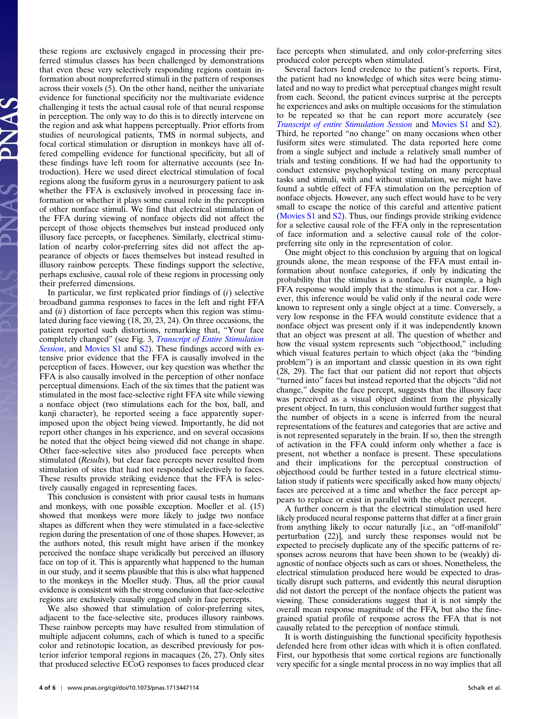these regions are exclusively engaged in processing their preferred stimulus classes has been challenged by demonstrations that even these very selectively responding regions contain information about nonpreferred stimuli in the pattern of responses across their voxels (5). On the other hand, neither the univariate evidence for functional specificity nor the multivariate evidence challenging it tests the actual causal role of that neural response in perception. The only way to do this is to directly intervene on the region and ask what happens perceptually. Prior efforts from studies of neurological patients, TMS in normal subjects, and focal cortical stimulation or disruption in monkeys have all offered compelling evidence for functional specificity, but all of these findings have left room for alternative accounts (see Introduction). Here we used direct electrical stimulation of focal regions along the fusiform gyrus in a neurosurgery patient to ask whether the FFA is exclusively involved in processing face information or whether it plays some causal role in the perception of other nonface stimuli. We find that electrical stimulation of the FFA during viewing of nonface objects did not affect the percept of those objects themselves but instead produced only illusory face percepts, or facephenes. Similarly, electrical stimulation of nearby color-preferring sites did not affect the appearance of objects or faces themselves but instead resulted in illusory rainbow percepts. These findings support the selective, perhaps exclusive, causal role of these regions in processing only their preferred dimensions.

In particular, we first replicated prior findings of  $(i)$  selective broadband gamma responses to faces in the left and right FFA and  $(ii)$  distortion of face percepts when this region was stimulated during face viewing (18, 20, 23, 24). On three occasions, the patient reported such distortions, remarking that, "Your face completely changed" (see Fig. 3, [Transcript of Entire Stimulation](http://www.pnas.org/lookup/suppl/doi:10.1073/pnas.1713447114/-/DCSupplemental/pnas.201713447SI.pdf?targetid=nameddest=STXT) [Session](http://www.pnas.org/lookup/suppl/doi:10.1073/pnas.1713447114/-/DCSupplemental/pnas.201713447SI.pdf?targetid=nameddest=STXT), and [Movies S1](http://movie-usa.glencoesoftware.com/video/10.1073/pnas.1713447114/video-1) and [S2\)](http://movie-usa.glencoesoftware.com/video/10.1073/pnas.1713447114/video-2). These findings accord with extensive prior evidence that the FFA is causally involved in the perception of faces. However, our key question was whether the FFA is also causally involved in the perception of other nonface perceptual dimensions. Each of the six times that the patient was stimulated in the most face-selective right FFA site while viewing a nonface object (two stimulations each for the box, ball, and kanji character), he reported seeing a face apparently superimposed upon the object being viewed. Importantly, he did not report other changes in his experience, and on several occasions he noted that the object being viewed did not change in shape. Other face-selective sites also produced face percepts when stimulated (Results), but clear face percepts never resulted from stimulation of sites that had not responded selectively to faces. These results provide striking evidence that the FFA is selectively causally engaged in representing faces.

This conclusion is consistent with prior causal tests in humans and monkeys, with one possible exception. Moeller et al. (15) showed that monkeys were more likely to judge two nonface shapes as different when they were stimulated in a face-selective region during the presentation of one of those shapes. However, as the authors noted, this result might have arisen if the monkey perceived the nonface shape veridically but perceived an illusory face on top of it. This is apparently what happened to the human in our study, and it seems plausible that this is also what happened to the monkeys in the Moeller study. Thus, all the prior causal evidence is consistent with the strong conclusion that face-selective regions are exclusively causally engaged only in face percepts.

We also showed that stimulation of color-preferring sites, adjacent to the face-selective site, produces illusory rainbows. These rainbow percepts may have resulted from stimulation of multiple adjacent columns, each of which is tuned to a specific color and retinotopic location, as described previously for posterior inferior temporal regions in macaques (26, 27). Only sites that produced selective ECoG responses to faces produced clear

face percepts when stimulated, and only color-preferring sites produced color percepts when stimulated.

Several factors lend credence to the patient's reports. First, the patient had no knowledge of which sites were being stimulated and no way to predict what perceptual changes might result from each. Second, the patient evinces surprise at the percepts he experiences and asks on multiple occasions for the stimulation to be repeated so that he can report more accurately (see [Transcript of entire Stimulation Session](http://www.pnas.org/lookup/suppl/doi:10.1073/pnas.1713447114/-/DCSupplemental/pnas.201713447SI.pdf?targetid=nameddest=STXT) and [Movies S1](http://movie-usa.glencoesoftware.com/video/10.1073/pnas.1713447114/video-1) and [S2\)](http://movie-usa.glencoesoftware.com/video/10.1073/pnas.1713447114/video-2). Third, he reported "no change" on many occasions when other fusiform sites were stimulated. The data reported here come from a single subject and include a relatively small number of trials and testing conditions. If we had had the opportunity to conduct extensive psychophysical testing on many perceptual tasks and stimuli, with and without stimulation, we might have found a subtle effect of FFA stimulation on the perception of nonface objects. However, any such effect would have to be very small to escape the notice of this careful and attentive patient ([Movies S1](http://movie-usa.glencoesoftware.com/video/10.1073/pnas.1713447114/video-1) and [S2](http://movie-usa.glencoesoftware.com/video/10.1073/pnas.1713447114/video-2)). Thus, our findings provide striking evidence for a selective causal role of the FFA only in the representation of face information and a selective causal role of the colorpreferring site only in the representation of color.

One might object to this conclusion by arguing that on logical grounds alone, the mean response of the FFA must entail information about nonface categories, if only by indicating the probability that the stimulus is a nonface. For example, a high FFA response would imply that the stimulus is not a car. However, this inference would be valid only if the neural code were known to represent only a single object at a time. Conversely, a very low response in the FFA would constitute evidence that a nonface object was present only if it was independently known that an object was present at all. The question of whether and how the visual system represents such "objecthood," including which visual features pertain to which object (aka the "binding problem") is an important and classic question in its own right (28, 29). The fact that our patient did not report that objects "turned into" faces but instead reported that the objects "did not change," despite the face percept, suggests that the illusory face was perceived as a visual object distinct from the physically present object. In turn, this conclusion would further suggest that the number of objects in a scene is inferred from the neural representations of the features and categories that are active and is not represented separately in the brain. If so, then the strength of activation in the FFA could inform only whether a face is present, not whether a nonface is present. These speculations and their implications for the perceptual construction of objecthood could be further tested in a future electrical stimulation study if patients were specifically asked how many objects/ faces are perceived at a time and whether the face percept appears to replace or exist in parallel with the object percept.

A further concern is that the electrical stimulation used here likely produced neural response patterns that differ at a finer grain from anything likely to occur naturally [i.e., an "off-manifold" perturbation (22)], and surely these responses would not be expected to precisely duplicate any of the specific patterns of responses across neurons that have been shown to be (weakly) diagnostic of nonface objects such as cars or shoes. Nonetheless, the electrical stimulation produced here would be expected to drastically disrupt such patterns, and evidently this neural disruption did not distort the percept of the nonface objects the patient was viewing. These considerations suggest that it is not simply the overall mean response magnitude of the FFA, but also the finegrained spatial profile of response across the FFA that is not causally related to the perception of nonface stimuli.

It is worth distinguishing the functional specificity hypothesis defended here from other ideas with which it is often conflated. First, our hypothesis that some cortical regions are functionally very specific for a single mental process in no way implies that all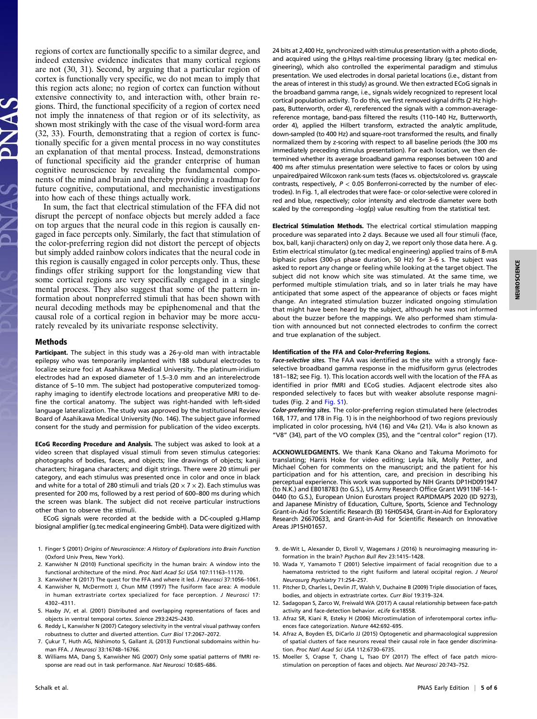regions of cortex are functionally specific to a similar degree, and indeed extensive evidence indicates that many cortical regions are not (30, 31). Second, by arguing that a particular region of cortex is functionally very specific, we do not mean to imply that this region acts alone; no region of cortex can function without extensive connectivity to, and interaction with, other brain regions. Third, the functional specificity of a region of cortex need not imply the innateness of that region or of its selectivity, as shown most strikingly with the case of the visual word-form area (32, 33). Fourth, demonstrating that a region of cortex is functionally specific for a given mental process in no way constitutes an explanation of that mental process. Instead, demonstrations of functional specificity aid the grander enterprise of human cognitive neuroscience by revealing the fundamental components of the mind and brain and thereby providing a roadmap for future cognitive, computational, and mechanistic investigations into how each of these things actually work.

In sum, the fact that electrical stimulation of the FFA did not disrupt the percept of nonface objects but merely added a face on top argues that the neural code in this region is causally engaged in face percepts only. Similarly, the fact that stimulation of the color-preferring region did not distort the percept of objects but simply added rainbow colors indicates that the neural code in this region is causally engaged in color percepts only. Thus, these findings offer striking support for the longstanding view that some cortical regions are very specifically engaged in a single mental process. They also suggest that some of the pattern information about nonpreferred stimuli that has been shown with neural decoding methods may be epiphenomenal and that the causal role of a cortical region in behavior may be more accurately revealed by its univariate response selectivity.

## Methods

Participant. The subject in this study was a 26-y-old man with intractable epilepsy who was temporarily implanted with 188 subdural electrodes to localize seizure foci at Asahikawa Medical University. The platinum-iridium electrodes had an exposed diameter of 1.5–3.0 mm and an interelectrode distance of 5–10 mm. The subject had postoperative computerized tomography imaging to identify electrode locations and preoperative MRI to define the cortical anatomy. The subject was right-handed with left-sided language lateralization. The study was approved by the Institutional Review Board of Asahikawa Medical University (No. 146). The subject gave informed consent for the study and permission for publication of the video excerpts.

ECoG Recording Procedure and Analysis. The subject was asked to look at a video screen that displayed visual stimuli from seven stimulus categories: photographs of bodies, faces, and objects; line drawings of objects; kanji characters; hiragana characters; and digit strings. There were 20 stimuli per category, and each stimulus was presented once in color and once in black and white for a total of 280 stimuli and trials (20  $\times$  7  $\times$  2). Each stimulus was presented for 200 ms, followed by a rest period of 600–800 ms during which the screen was blank. The subject did not receive particular instructions other than to observe the stimuli.

ECoG signals were recorded at the bedside with a DC-coupled g.HIamp biosignal amplifier (g.tec medical engineering GmbH). Data were digitized with

- 1. Finger S (2001) Origins of Neuroscience: A History of Explorations into Brain Function (Oxford Univ Press, New York).
- 2. Kanwisher N (2010) Functional specificity in the human brain: A window into the functional architecture of the mind. Proc Natl Acad Sci USA 107:11163–11170.
- 3. Kanwisher N (2017) The quest for the FFA and where it led. J Neurosci 37:1056–1061. 4. Kanwisher N, McDermott J, Chun MM (1997) The fusiform face area: A module in human extrastriate cortex specialized for face perception. J Neurosci 17: 4302–4311.
- 5. Haxby JV, et al. (2001) Distributed and overlapping representations of faces and objects in ventral temporal cortex. Science 293:2425–2430.
- 6. Reddy L, Kanwisher N (2007) Category selectivity in the ventral visual pathway confers robustness to clutter and diverted attention. Curr Biol 17:2067–2072.
- 7. Çukur T, Huth AG, Nishimoto S, Gallant JL (2013) Functional subdomains within human FFA. J Neurosci 33:16748–16766.
- 8. Williams MA, Dang S, Kanwisher NG (2007) Only some spatial patterns of fMRI response are read out in task performance. Nat Neurosci 10:685–686.

24 bits at 2,400 Hz, synchronized with stimulus presentation with a photo diode, and acquired using the g.HIsys real-time processing library (g.tec medical engineering), which also controlled the experimental paradigm and stimulus presentation. We used electrodes in dorsal parietal locations (i.e., distant from the areas of interest in this study) as ground. We then extracted ECoG signals in the broadband gamma range, i.e., signals widely recognized to represent local cortical population activity. To do this, we first removed signal drifts (2 Hz highpass, Butterworth, order 4), rereferenced the signals with a common-averagereference montage, band-pass filtered the results (110–140 Hz, Butterworth, order 4), applied the Hilbert transform, extracted the analytic amplitude, down-sampled (to 400 Hz) and square-root transformed the results, and finally normalized them by z-scoring with respect to all baseline periods (the 300 ms immediately preceding stimulus presentation). For each location, we then determined whether its average broadband gamma responses between 100 and 400 ms after stimulus presentation were selective to faces or colors by using unpaired/paired Wilcoxon rank-sum tests (faces vs. objects/colored vs. grayscale contrasts, respectively,  $P < 0.05$  Bonferroni-corrected by the number of electrodes). In Fig. 1, all electrodes that were face- or color-selective were colored in red and blue, respectively; color intensity and electrode diameter were both scaled by the corresponding –log(p) value resulting from the statistical test.

Electrical Stimulation Methods. The electrical cortical stimulation mapping procedure was separated into 2 days. Because we used all four stimuli (face, box, ball, kanji characters) only on day 2, we report only those data here. A g. Estim electrical stimulator (g.tec medical engineering) applied trains of 8-mA biphasic pulses (300-μs phase duration, 50 Hz) for 3–6 s. The subject was asked to report any change or feeling while looking at the target object. The subject did not know which site was stimulated. At the same time, we performed multiple stimulation trials, and so in later trials he may have anticipated that some aspect of the appearance of objects or faces might change. An integrated stimulation buzzer indicated ongoing stimulation that might have been heard by the subject, although he was not informed about the buzzer before the mappings. We also performed sham stimulation with announced but not connected electrodes to confirm the correct and true explanation of the subject.

### Identification of the FFA and Color-Preferring Regions.

Face-selective sites. The FAA was identified as the site with a strongly face-selective broadband gamma response in the midfusiform gyrus (electrodes 181–182; see Fig. 1). This location accords well with the location of the FFA as identified in prior fMRI and ECoG studies. Adjacent electrode sites also responded selectively to faces but with weaker absolute response magnitudes (Fig. 2 and [Fig. S1\)](http://www.pnas.org/lookup/suppl/doi:10.1073/pnas.1713447114/-/DCSupplemental/pnas.201713447SI.pdf?targetid=nameddest=SF1).

Color-preferring sites. The color-preferring region stimulated here (electrodes 168, 177, and 178 in Fig. 1) is in the neighborhood of two regions previously implicated in color processing, hV4 (16) and V4 $\alpha$  (21). V4 $\alpha$  is also known as "V8" (34), part of the VO complex (35), and the "central color" region (17).

ACKNOWLEDGMENTS. We thank Kana Okano and Takuma Morimoto for translating; Harris Hoke for video editing; Leyla Isik, Molly Potter, and Michael Cohen for comments on the manuscript; and the patient for his participation and for his attention, care, and precision in describing his perceptual experience. This work was supported by NIH Grants DP1HD091947 (to N.K.) and EB018783 (to G.S.), US Army Research Office Grant W911NF-14-1- 0440 (to G.S.), European Union Eurostars project RAPIDMAPS 2020 (ID 9273), and Japanese Ministry of Education, Culture, Sports, Science and Technology Grant-in-Aid for Scientific Research (B) 16H05434, Grant-in-Aid for Exploratory Research 26670633, and Grant-in-Aid for Scientific Research on Innovative Areas JP15H01657.

- 9. de-Wit L, Alexander D, Ekroll V, Wagemans J (2016) Is neuroimaging measuring information in the brain? Psychon Bull Rev 23:1415–1428.
- 10. Wada Y, Yamamoto T (2001) Selective impairment of facial recognition due to a haematoma restricted to the right fusiform and lateral occipital region. J Neurol Neurosurg Psychiatry 71:254–257.
- 11. Pitcher D, Charles L, Devlin JT, Walsh V, Duchaine B (2009) Triple dissociation of faces, bodies, and objects in extrastriate cortex. Curr Biol 19:319–324.
- 12. Sadagopan S, Zarco W, Freiwald WA (2017) A causal relationship between face-patch activity and face-detection behavior. eLife 6:e18558.
- 13. Afraz SR, Kiani R, Esteky H (2006) Microstimulation of inferotemporal cortex influences face categorization. Nature 442:692–695.
- 14. Afraz A, Boyden ES, DiCarlo JJ (2015) Optogenetic and pharmacological suppression of spatial clusters of face neurons reveal their causal role in face gender discrimination. Proc Natl Acad Sci USA 112:6730–6735.
- 15. Moeller S, Crapse T, Chang L, Tsao DY (2017) The effect of face patch microstimulation on perception of faces and objects. Nat Neurosci 20:743–752.